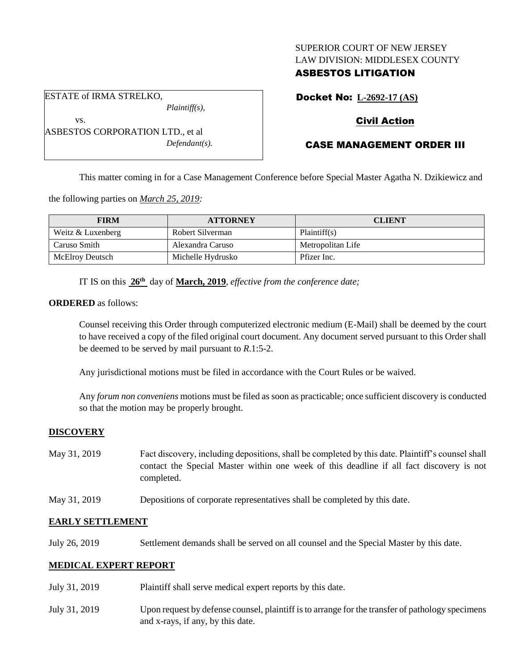### SUPERIOR COURT OF NEW JERSEY LAW DIVISION: MIDDLESEX COUNTY

## ASBESTOS LITIGATION

Docket No: **L-2692-17 (AS)**

# Civil Action

# CASE MANAGEMENT ORDER III

This matter coming in for a Case Management Conference before Special Master Agatha N. Dzikiewicz and

the following parties on *March 25, 2019:*

| <b>FIRM</b>       | <b>ATTORNEY</b>   | <b>CLIENT</b>     |
|-------------------|-------------------|-------------------|
| Weitz & Luxenberg | Robert Silverman  | Plaintiff(s)      |
| l Caruso Smith    | Alexandra Caruso  | Metropolitan Life |
| McElroy Deutsch   | Michelle Hydrusko | Pfizer Inc.       |

IT IS on this  $26^{\text{th}}$  day of **March, 2019**, *effective from the conference date*;

#### **ORDERED** as follows:

Counsel receiving this Order through computerized electronic medium (E-Mail) shall be deemed by the court to have received a copy of the filed original court document. Any document served pursuant to this Order shall be deemed to be served by mail pursuant to *R*.1:5-2.

Any jurisdictional motions must be filed in accordance with the Court Rules or be waived.

Any *forum non conveniens* motions must be filed as soon as practicable; once sufficient discovery is conducted so that the motion may be properly brought.

## **DISCOVERY**

| Fact discovery, including depositions, shall be completed by this date. Plaintiff's counsel shall      |  |  |
|--------------------------------------------------------------------------------------------------------|--|--|
| contact the Special Master within one week of this deadline if all fact discovery is not<br>completed. |  |  |
|                                                                                                        |  |  |

May 31, 2019 Depositions of corporate representatives shall be completed by this date.

#### **EARLY SETTLEMENT**

July 26, 2019 Settlement demands shall be served on all counsel and the Special Master by this date.

#### **MEDICAL EXPERT REPORT**

July 31, 2019 Plaintiff shall serve medical expert reports by this date. July 31, 2019 Upon request by defense counsel, plaintiff is to arrange for the transfer of pathology specimens and x-rays, if any, by this date.

vs. ASBESTOS CORPORATION LTD., et al *Defendant(s).*

*Plaintiff(s),*

ESTATE of IRMA STRELKO,